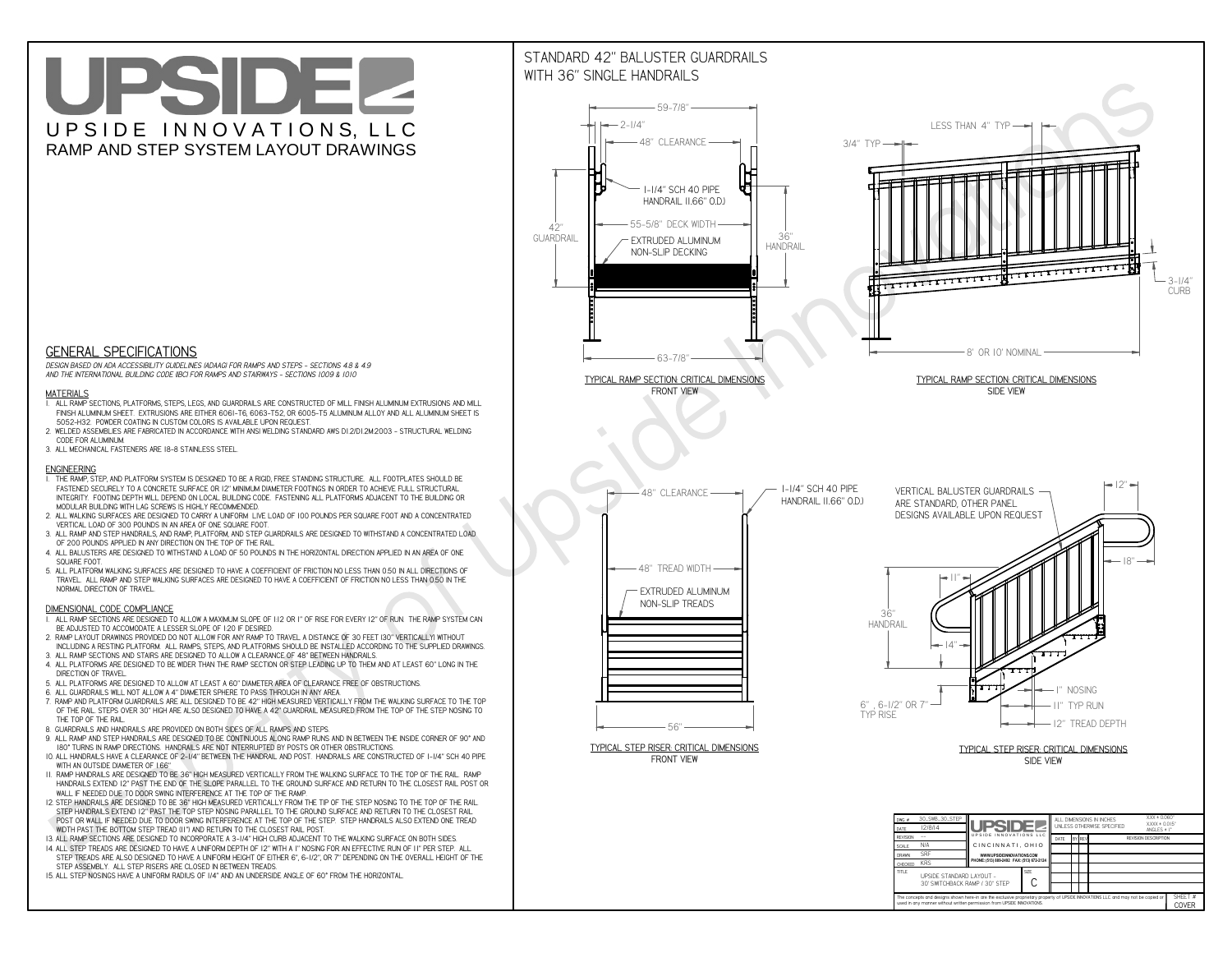# UPSIDEL UPSIDE INNOVATIONS, LLC RAMP AND STEP SYSTEM LAYOUT DRAWINGS



 *DESIGN BASED ON ADA ACCESSIBILITY GUIDELINES (ADAAG) FOR RAMPS AND STEPS - SECTIONS 4.8 & 4.9AND THE INTERNATIONAL BUILDING CODE (IBC) FOR RAMPS AND STAIRWAYS - SECTIONS 1009 & 1010*

#### **MATERIALS**

- **1. ALL RAMP SECTIONS, PLATFORMS, STEPS, LEGS, AND GUARDRAILS ARE CONSTRUCTED OF MILL FINISH ALUMINUM EXTRUSIONS AND MILL FINISH ALUMINUM SHEET. EXTRUSIONS ARE EITHER 6061-T6, 6063-T52, OR 6005-T5 ALUMINUM ALLOY AND ALL ALUMINUM SHEET IS 5052-H32. POWDER COATING IN CUSTOM COLORS IS AVAILABLE UPON REQUEST.**
- **2. WELDED ASSEMBLIES ARE FABRICATED IN ACCORDANCE WITH ANSI WELDING STANDARD AWS D1.2/D1.2M:2003 STRUCTURAL WELDING CODE FOR ALUMINUM.**
- **3. ALL MECHANICAL FASTENERS ARE 18-8 STAINLESS STEEL.**

#### **ENGINEERING**

- **1. THE RAMP, STEP, AND PLATFORM SYSTEM IS DESIGNED TO BE A RIGID, FREE STANDING STRUCTURE. ALL FOOTPLATES SHOULD BE FASTENED SECURELY TO A CONCRETE SURFACE OR 12" MINIMUM DIAMETER FOOTINGS IN ORDER TO ACHIEVE FULL STRUCTURAL INTEGRITY. FOOTING DEPTH WILL DEPEND ON LOCAL BUILDING CODE. FASTENING ALL PLATFORMS ADJACENT TO THE BUILDING OR MODULAR BUILDING WITH LAG SCREWS IS HIGHLY RECOMMENDED.**
- **2. ALL WALKING SURFACES ARE DESIGNED TO CARRY A UNIFORM LIVE LOAD OF 100 POUNDS PER SQUARE FOOT AND A CONCENTRATED VERTICAL LOAD OF 300 POUNDS IN AN AREA OF ONE SQUARE FOOT.**
- **3. ALL RAMP AND STEP HANDRAILS, AND RAMP, PLATFORM, AND STEP GUARDRAILS ARE DESIGNED TO WITHSTAND A CONCENTRATED LOAD OF 200 POUNDS APPLIED IN ANY DIRECTION ON THE TOP OF THE RAIL.**
- **4. ALL BALUSTERS ARE DESIGNED TO WITHSTAND A LOAD OF 50 POUNDS IN THE HORIZONTAL DIRECTION APPLIED IN AN AREA OF ONE SQUARE FOOT.**
- **5. ALL PLATFORM WALKING SURFACES ARE DESIGNED TO HAVE A COEFFICIENT OF FRICTION NO LESS THAN 0.50 IN ALL DIRECTIONS OF TRAVEL. ALL RAMP AND STEP WALKING SURFACES ARE DESIGNED TO HAVE A COEFFICIENT OF FRICTION NO LESS THAN 0.50 IN THE NORMAL DIRECTION OF TRAVEL.**

### **DIMENSIONAL CODE COMPLIANCE**



- **1. ALL RAMP SECTIONS ARE DESIGNED TO ALLOW A MAXIMUM SLOPE OF 1:12 OR 1" OF RISE FOR EVERY 12" OF RUN. THE RAMP SYSTEM CAN BE ADJUSTED TO ACCOMODATE A LESSER SLOPE OF 1:20 IF DESIRED.**
- **2. RAMP LAYOUT DRAWINGS PROVIDED DO NOT ALLOW FOR ANY RAMP TO TRAVEL A DISTANCE OF 30 FEET (30" VERTICALLY) WITHOUT INCLUDING A RESTING PLATFORM. ALL RAMPS, STEPS, AND PLATFORMS SHOULD BE INSTALLED ACCORDING TO THE SUPPLIED DRAWINGS.**
- **3. ALL RAMP SECTIONS AND STAIRS ARE DESIGNED TO ALLOW A CLEARANCE OF 48" BETWEEN HANDRAILS.**
- **4. ALL PLATFORMS ARE DESIGNED TO BE WIDER THAN THE RAMP SECTION OR STEP LEADING UP TO THEM AND AT LEAST 60" LONG IN THE DIRECTION OF TRAVEL.**
- **5. ALL PLATFORMS ARE DESIGNED TO ALLOW AT LEAST A 60" DIAMETER AREA OF CLEARANCE FREE OF OBSTRUCTIONS.**
- **6. ALL GUARDRAILS WILL NOT ALLOW A 4" DIAMETER SPHERE TO PASS THROUGH IN ANY AREA.**
- **7. RAMP AND PLATFORM GUARDRAILS ARE ALL DESIGNED TO BE 42" HIGH MEASURED VERTICALLY FROM THE WALKING SURFACE TO THE TOP OF THE RAIL. STEPS OVER 30" HIGH ARE ALSO DESIGNED TO HAVE A 42" GUARDRAIL MEASURED FROM THE TOP OF THE STEP NOSING TO THE TOP OF THE RAIL.**
- **8. GUARDRAILS AND HANDRAILS ARE PROVIDED ON BOTH SIDES OF ALL RAMPS AND STEPS.**
- **9. ALL RAMP AND STEP HANDRAILS ARE DESIGNED TO BE CONTINUOUS ALONG RAMP RUNS AND IN BETWEEN THE INSIDE CORNER OF 90° AND 180° TURNS IN RAMP DIRECTIONS. HANDRAILS ARE NOT INTERRUPTED BY POSTS OR OTHER OBSTRUCTIONS.**
- **10. ALL HANDRAILS HAVE A CLEARANCE OF 2-1/4" BETWEEN THE HANDRAIL AND POST. HANDRAILS ARE CONSTRUCTED OF 1-1/4" SCH 40 PIPE WITH AN OUTSIDE DIAMETER OF 1.66"**
- **11. RAMP HANDRAILS ARE DESIGNED TO BE 36" HIGH MEASURED VERTICALLY FROM THE WALKING SURFACE TO THE TOP OF THE RAIL. RAMP HANDRAILS EXTEND 12" PAST THE END OF THE SLOPE PARALLEL TO THE GROUND SURFACE AND RETURN TO THE CLOSEST RAIL POST OR WALL IF NEEDED DUE TO DOOR SWING INTERFERENCE AT THE TOP OF THE RAMP.**
- **12. STEP HANDRAILS ARE DESIGNED TO BE 36" HIGH MEASURED VERTICALLY FROM THE TIP OF THE STEP NOSING TO THE TOP OF THE RAIL. STEP HANDRAILS EXTEND 12" PAST THE TOP STEP NOSING PARALLEL TO THE GROUND SURFACE AND RETURN TO THE CLOSEST RAIL POST OR WALL IF NEEDED DUE TO DOOR SWING INTERFERENCE AT THE TOP OF THE STEP. STEP HANDRAILS ALSO EXTEND ONE TREAD**
- **WIDTH PAST THE BOTTOM STEP TREAD (11") AND RETURN TO THE CLOSEST RAIL POST.**
- **13. ALL RAMP SECTIONS ARE DESIGNED TO INCORPORATE A 3-1/4" HIGH CURB ADJACENT TO THE WALKING SURFACE ON BOTH SIDES.**
- **14. ALL STEP TREADS ARE DESIGNED TO HAVE A UNIFORM DEPTH OF 12" WITH A 1" NOSING FOR AN EFFECTIVE RUN OF 11" PER STEP. ALL STEP TREADS ARE ALSO DESIGNED TO HAVE A UNIFORM HEIGHT OF EITHER 6", 6-1/2", OR 7" DEPENDING ON THE OVERALL HEIGHT OF THE STEP ASSEMBLY. ALL STEP RISERS ARE CLOSED IN BETWEEN TREADS.**
- **15. ALL STEP NOSINGS HAVE A UNIFORM RADIUS OF 1/4" AND AN UNDERSIDE ANGLE OF 60° FROM THE HORIZONTAL.**

## STANDARD 42" BALUSTER GUARDRAILSWITH 36" SINGLE HANDRAILS